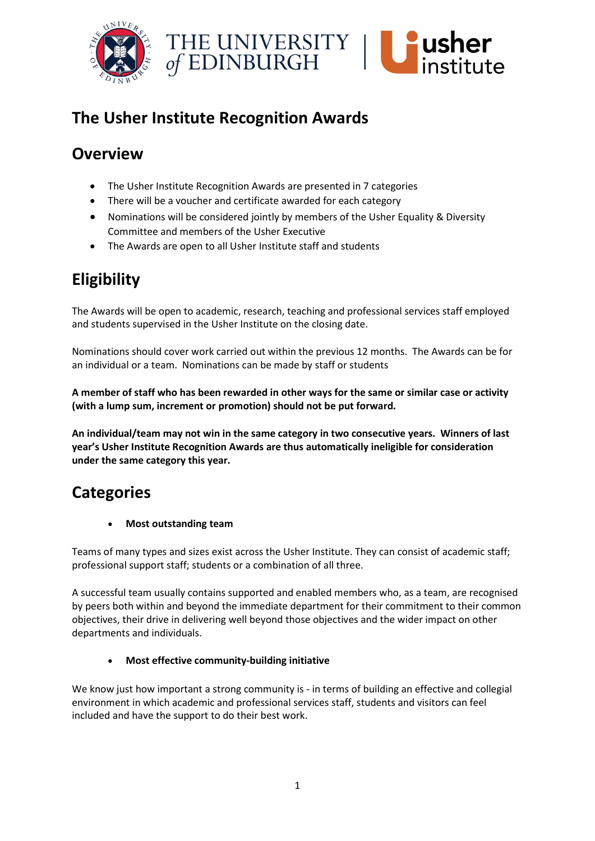

# The Usher Institute Recognition Awards

## **Overview**

- The Usher Institute Recognition Awards are presented in 7 categories
- There will be a voucher and certificate awarded for each category
- Nominations will be considered jointly by members of the Usher Equality & Diversity Committee and members of the Usher Executive
- The Awards are open to all Usher Institute staff and students

# Eligibility

The Awards will be open to academic, research, teaching and professional services staff employed and students supervised in the Usher Institute on the closing date.

Nominations should cover work carried out within the previous 12 months. The Awards can be for an individual or a team. Nominations can be made by staff or students

A member of staff who has been rewarded in other ways for the same or similar case or activity (with a lump sum, increment or promotion) should not be put forward.

An individual/team may not win in the same category in two consecutive years. Winners of last year's Usher Institute Recognition Awards are thus automatically ineligible for consideration under the same category this year.

### **Categories**

Most outstanding team

Teams of many types and sizes exist across the Usher Institute. They can consist of academic staff; professional support staff; students or a combination of all three.

A successful team usually contains supported and enabled members who, as a team, are recognised by peers both within and beyond the immediate department for their commitment to their common objectives, their drive in delivering well beyond those objectives and the wider impact on other departments and individuals.

#### Most effective community-building initiative

We know just how important a strong community is - in terms of building an effective and collegial environment in which academic and professional services staff, students and visitors can feel included and have the support to do their best work.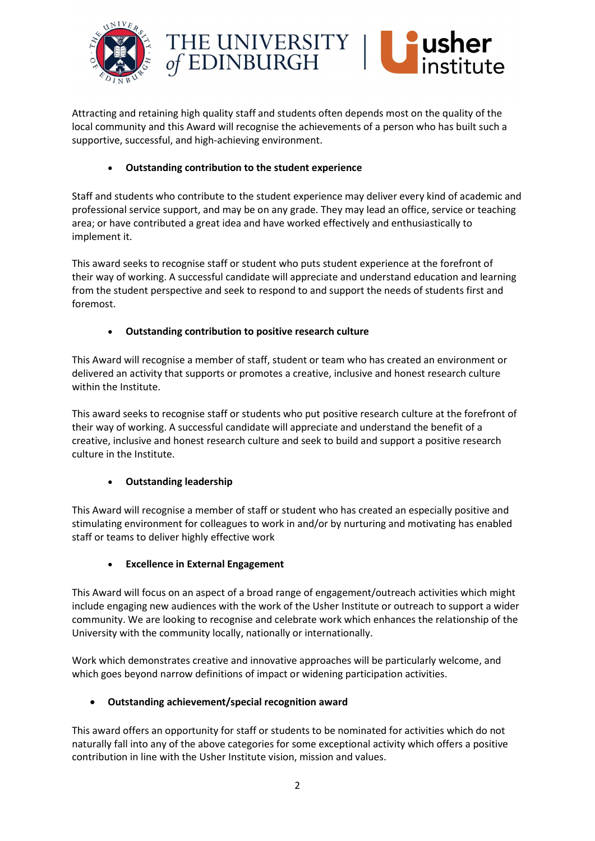



Attracting and retaining high quality staff and students often depends most on the quality of the local community and this Award will recognise the achievements of a person who has built such a supportive, successful, and high-achieving environment.

#### Outstanding contribution to the student experience

Staff and students who contribute to the student experience may deliver every kind of academic and professional service support, and may be on any grade. They may lead an office, service or teaching area; or have contributed a great idea and have worked effectively and enthusiastically to implement it.

This award seeks to recognise staff or student who puts student experience at the forefront of their way of working. A successful candidate will appreciate and understand education and learning from the student perspective and seek to respond to and support the needs of students first and foremost.

#### Outstanding contribution to positive research culture

This Award will recognise a member of staff, student or team who has created an environment or delivered an activity that supports or promotes a creative, inclusive and honest research culture within the Institute.

This award seeks to recognise staff or students who put positive research culture at the forefront of their way of working. A successful candidate will appreciate and understand the benefit of a creative, inclusive and honest research culture and seek to build and support a positive research culture in the Institute.

#### Outstanding leadership

This Award will recognise a member of staff or student who has created an especially positive and stimulating environment for colleagues to work in and/or by nurturing and motivating has enabled staff or teams to deliver highly effective work

#### Excellence in External Engagement

This Award will focus on an aspect of a broad range of engagement/outreach activities which might include engaging new audiences with the work of the Usher Institute or outreach to support a wider community. We are looking to recognise and celebrate work which enhances the relationship of the University with the community locally, nationally or internationally.

Work which demonstrates creative and innovative approaches will be particularly welcome, and which goes beyond narrow definitions of impact or widening participation activities.

#### Outstanding achievement/special recognition award

This award offers an opportunity for staff or students to be nominated for activities which do not naturally fall into any of the above categories for some exceptional activity which offers a positive contribution in line with the Usher Institute vision, mission and values.